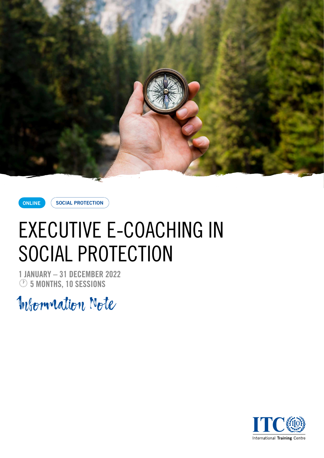

**ONLINE SOCIAL PROTECTION** 

# EXECUTIVE E-COACHING IN SOCIAL PROTECTION

**1 JANUARY – 31 DECEMBER 2022** · **5 MONTHS, 10 SESSIONS**

Information Note

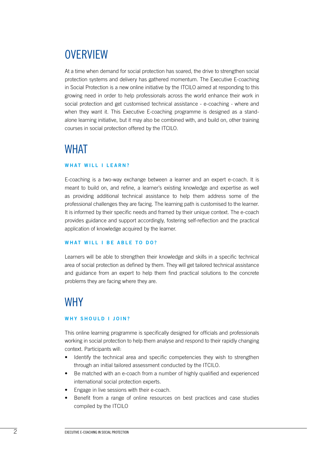# **OVERVIEW**

At a time when demand for social protection has soared, the drive to strengthen social protection systems and delivery has gathered momentum. The Executive E-coaching in Social Protection is a new online initiative by the ITCILO aimed at responding to this growing need in order to help professionals across the world enhance their work in social protection and get customised technical assistance - e-coaching - where and when they want it. This Executive E-coaching programme is designed as a standalone learning initiative, but it may also be combined with, and build on, other training courses in social protection offered by the ITCILO.

### WHAT

#### **WHAT WILL I LEARN?**

E-coaching is a two-way exchange between a learner and an expert e-coach. It is meant to build on, and refine, a learner's existing knowledge and expertise as well as providing additional technical assistance to help them address some of the professional challenges they are facing. The learning path is customised to the learner. It is informed by their specific needs and framed by their unique context. The e-coach provides guidance and support accordingly, fostering self-reflection and the practical application of knowledge acquired by the learner.

#### **WHAT WILL I BE ABLE TO DO?**

Learners will be able to strengthen their knowledge and skills in a specific technical area of social protection as defined by them. They will get tailored technical assistance and guidance from an expert to help them find practical solutions to the concrete problems they are facing where they are.

### **WHY**

#### **WHY SHOULD I JOIN?**

This online learning programme is specifically designed for officials and professionals working in social protection to help them analyse and respond to their rapidly changing context. Participants will:

- Identify the technical area and specific competencies they wish to strengthen through an initial tailored assessment conducted by the ITCILO.
- Be matched with an e-coach from a number of highly qualified and experienced international social protection experts.
- Engage in live sessions with their e-coach.
- Benefit from a range of online resources on best practices and case studies compiled by the ITCILO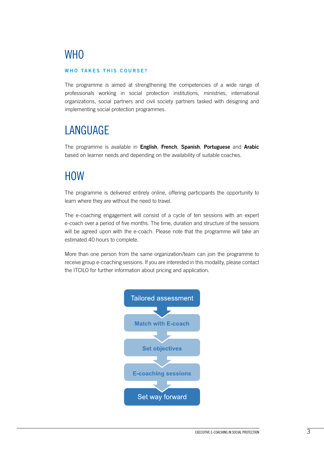# **WHO**

#### **WHO TAKES THIS COURSE?**

The programme is aimed at strengthening the competencies of a wide range of professionals working in social protection institutions, ministries, international organizations, social partners and civil society partners tasked with designing and implementing social protection programmes.

# LANGUAGE

The programme is available in **English**, **French**, **Spanish**, **Portuguese** and **Arabic** based on learner needs and depending on the availability of suitable coaches.

### **HOW**

The programme is delivered entirely online, offering participants the opportunity to learn where they are without the need to travel.

The e-coaching engagement will consist of a cycle of ten sessions with an expert e-coach over a period of five months. The time, duration and structure of the sessions will be agreed upon with the e-coach. Please note that the programme will take an estimated 40 hours to complete.

More than one person from the same organization/team can join the programme to receive group e-coaching sessions. If you are interested in this modality, please contact the ITCILO for further information about pricing and application.

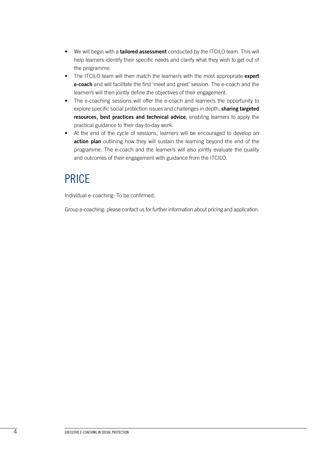- We will begin with a **tailored assessment** conducted by the ITCILO team. This will help learners identify their specific needs and clarify what they wish to get out of the programme.
- The ITCILO team will then match the learner/s with the most appropriate **expert e-coach** and will facilitate the first 'meet and greet' session. The e-coach and the learner/s will then jointly define the objectives of their engagement.
- The e-coaching sessions will offer the e-coach and learner/s the opportunity to explore specific social protection issues and challenges in depth, **sharing targeted resources, best practices and technical advice**, enabling learners to apply the practical guidance to their day-to-day work.
- At the end of the cycle of sessions, learners will be encouraged to develop an **action plan** outlining how they will sustain the learning beyond the end of the programme. The e-coach and the learner/s will also jointly evaluate the quality and outcomes of their engagement with guidance from the ITCILO.

## PRICE

Individual e-coaching: To be confirmed.

Group e-coaching: please contact us for further information about pricing and application.